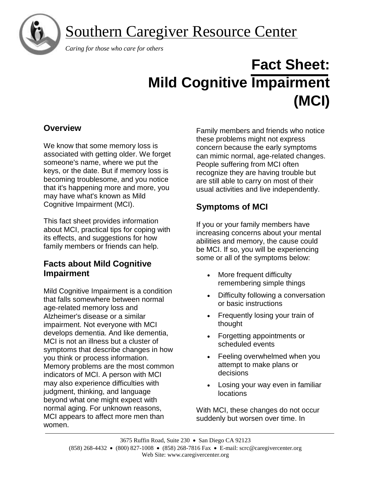

# Southern Caregiver Resource Center

 *Caring for those who care for others*

# **Fact Sheet: Mild Cognitive Impairment (MCI)**

## **Overview**

We know that some memory loss is associated with getting older. We forget someone's name, where we put the keys, or the date. But if memory loss is becoming troublesome, and you notice that it's happening more and more, you may have what's known as Mild Cognitive Impairment (MCI).

This fact sheet provides information about MCI, practical tips for coping with its effects, and suggestions for how family members or friends can help.

## **Facts about Mild Cognitive Impairment**

Mild Cognitive Impairment is a condition that falls somewhere between normal age-related memory loss and Alzheimer's disease or a similar impairment. Not everyone with MCI develops dementia. And like dementia, MCI is not an illness but a cluster of symptoms that describe changes in how you think or process information. Memory problems are the most common indicators of MCI. A person with MCI may also experience difficulties with judgment, thinking, and language beyond what one might expect with normal aging. For unknown reasons, MCI appears to affect more men than women.

Family members and friends who notice these problems might not express concern because the early symptoms can mimic normal, age-related changes. People suffering from MCI often recognize they are having trouble but are still able to carry on most of their usual activities and live independently.

## **Symptoms of MCI**

If you or your family members have increasing concerns about your mental abilities and memory, the cause could be MCI. If so, you will be experiencing some or all of the symptoms below:

- More frequent difficulty remembering simple things
- Difficulty following a conversation or basic instructions
- Frequently losing your train of thought
- Forgetting appointments or scheduled events
- Feeling overwhelmed when you attempt to make plans or decisions
- Losing your way even in familiar locations

With MCI, these changes do not occur suddenly but worsen over time. In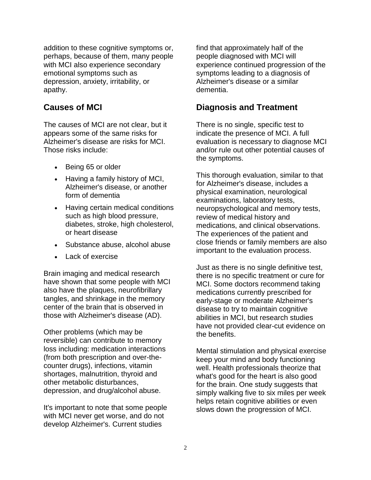addition to these cognitive symptoms or, perhaps, because of them, many people with MCI also experience secondary emotional symptoms such as depression, anxiety, irritability, or apathy.

## **Causes of MCI**

The causes of MCI are not clear, but it appears some of the same risks for Alzheimer's disease are risks for MCI. Those risks include:

- Being 65 or older
- Having a family history of MCI, Alzheimer's disease, or another form of dementia
- Having certain medical conditions such as high blood pressure, diabetes, stroke, high cholesterol, or heart disease
- Substance abuse, alcohol abuse
- Lack of exercise

Brain imaging and medical research have shown that some people with MCI also have the plaques, neurofibrillary tangles, and shrinkage in the memory center of the brain that is observed in those with Alzheimer's disease (AD).

Other problems (which may be reversible) can contribute to memory loss including: medication interactions (from both prescription and over-thecounter drugs), infections, vitamin shortages, malnutrition, thyroid and other metabolic disturbances, depression, and drug/alcohol abuse.

It's important to note that some people with MCI never get worse, and do not develop Alzheimer's. Current studies

find that approximately half of the people diagnosed with MCI will experience continued progression of the symptoms leading to a diagnosis of Alzheimer's disease or a similar dementia.

### **Diagnosis and Treatment**

There is no single, specific test to indicate the presence of MCI. A full evaluation is necessary to diagnose MCI and/or rule out other potential causes of the symptoms.

This thorough evaluation, similar to that for Alzheimer's disease, includes a physical examination, neurological examinations, laboratory tests, neuropsychological and memory tests, review of medical history and medications, and clinical observations. The experiences of the patient and close friends or family members are also important to the evaluation process.

Just as there is no single definitive test, there is no specific treatment or cure for MCI. Some doctors recommend taking medications currently prescribed for early-stage or moderate Alzheimer's disease to try to maintain cognitive abilities in MCI, but research studies have not provided clear-cut evidence on the benefits.

Mental stimulation and physical exercise keep your mind and body functioning well. Health professionals theorize that what's good for the heart is also good for the brain. One study suggests that simply walking five to six miles per week helps retain cognitive abilities or even slows down the progression of MCI.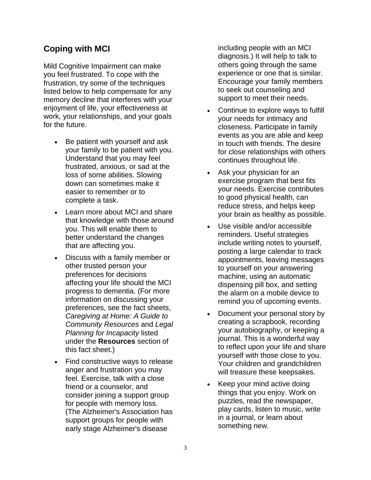## **Coping with MCI**

Mild Cognitive Impairment can make you feel frustrated. To cope with the frustration, try some of the techniques listed below to help compensate for any memory decline that interferes with your enjoyment of life, your effectiveness at work, your relationships, and your goals for the future.

- Be patient with yourself and ask your family to be patient with you. Understand that you may feel frustrated, anxious, or sad at the loss of some abilities. Slowing down can sometimes make it easier to remember or to complete a task.
- Learn more about MCI and share that knowledge with those around you. This will enable them to better understand the changes that are affecting you.
- Discuss with a family member or other trusted person your preferences for decisions affecting your life should the MCI progress to dementia. (For more information on discussing your preferences, see the fact sheets, *Caregiving at Home: A Guide to Community Resources* and *Legal Planning for Incapacity* listed under the **Resources** section of this fact sheet.)
- Find constructive ways to release anger and frustration you may feel. Exercise, talk with a close friend or a counselor, and consider joining a support group for people with memory loss. (The Alzheimer's Association has support groups for people with early stage Alzheimer's disease

including people with an MCI diagnosis.) It will help to talk to others going through the same experience or one that is similar. Encourage your family members to seek out counseling and support to meet their needs.

- Continue to explore ways to fulfill your needs for intimacy and closeness. Participate in family events as you are able and keep in touch with friends. The desire for close relationships with others continues throughout life.
- Ask your physician for an exercise program that best fits your needs. Exercise contributes to good physical health, can reduce stress, and helps keep your brain as healthy as possible.
- Use visible and/or accessible reminders. Useful strategies include writing notes to yourself, posting a large calendar to track appointments, leaving messages to yourself on your answering machine, using an automatic dispensing pill box, and setting the alarm on a mobile device to remind you of upcoming events.
- Document your personal story by creating a scrapbook, recording your autobiography, or keeping a journal. This is a wonderful way to reflect upon your life and share yourself with those close to you. Your children and grandchildren will treasure these keepsakes.
- Keep your mind active doing things that you enjoy. Work on puzzles, read the newspaper, play cards, listen to music, write in a journal, or learn about something new.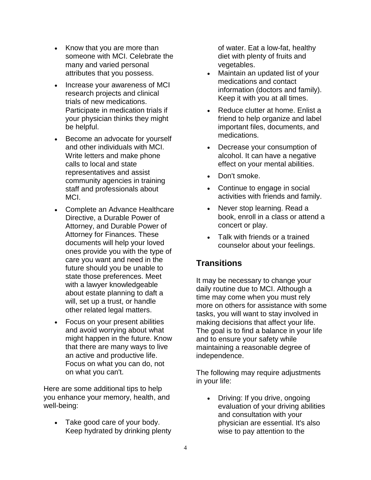- Know that you are more than someone with MCI. Celebrate the many and varied personal attributes that you possess.
- Increase your awareness of MCI research projects and clinical trials of new medications. Participate in medication trials if your physician thinks they might be helpful.
- Become an advocate for yourself and other individuals with MCI. Write letters and make phone calls to local and state representatives and assist community agencies in training staff and professionals about MCI.
- Complete an Advance Healthcare Directive, a Durable Power of Attorney, and Durable Power of Attorney for Finances. These documents will help your loved ones provide you with the type of care you want and need in the future should you be unable to state those preferences. Meet with a lawyer knowledgeable about estate planning to daft a will, set up a trust, or handle other related legal matters.
- Focus on your present abilities and avoid worrying about what might happen in the future. Know that there are many ways to live an active and productive life. Focus on what you can do, not on what you can't.

Here are some additional tips to help you enhance your memory, health, and well-being:

• Take good care of your body. Keep hydrated by drinking plenty

of water. Eat a low-fat, healthy diet with plenty of fruits and vegetables.

- Maintain an updated list of your medications and contact information (doctors and family). Keep it with you at all times.
- Reduce clutter at home. Enlist a friend to help organize and label important files, documents, and medications.
- Decrease your consumption of alcohol. It can have a negative effect on your mental abilities.
- Don't smoke.
- Continue to engage in social activities with friends and family.
- Never stop learning. Read a book, enroll in a class or attend a concert or play.
- Talk with friends or a trained counselor about your feelings.

## **Transitions**

It may be necessary to change your daily routine due to MCI. Although a time may come when you must rely more on others for assistance with some tasks, you will want to stay involved in making decisions that affect your life. The goal is to find a balance in your life and to ensure your safety while maintaining a reasonable degree of independence.

The following may require adjustments in your life:

• Driving: If you drive, ongoing evaluation of your driving abilities and consultation with your physician are essential. It's also wise to pay attention to the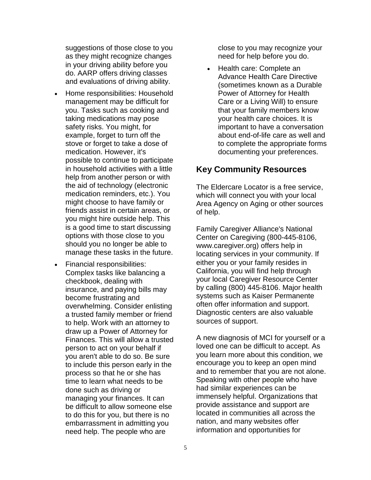suggestions of those close to you as they might recognize changes in your driving ability before you do. AARP offers driving classes and evaluations of driving ability.

- Home responsibilities: Household management may be difficult for you. Tasks such as cooking and taking medications may pose safety risks. You might, for example, forget to turn off the stove or forget to take a dose of medication. However, it's possible to continue to participate in household activities with a little help from another person or with the aid of technology (electronic medication reminders, etc.). You might choose to have family or friends assist in certain areas, or you might hire outside help. This is a good time to start discussing options with those close to you should you no longer be able to manage these tasks in the future.
- Financial responsibilities: Complex tasks like balancing a checkbook, dealing with insurance, and paying bills may become frustrating and overwhelming. Consider enlisting a trusted family member or friend to help. Work with an attorney to draw up a Power of Attorney for Finances. This will allow a trusted person to act on your behalf if you aren't able to do so. Be sure to include this person early in the process so that he or she has time to learn what needs to be done such as driving or managing your finances. It can be difficult to allow someone else to do this for you, but there is no embarrassment in admitting you need help. The people who are

close to you may recognize your need for help before you do.

• Health care: Complete an Advance Health Care Directive (sometimes known as a Durable Power of Attorney for Health Care or a Living Will) to ensure that your family members know your health care choices. It is important to have a conversation about end-of-life care as well and to complete the appropriate forms documenting your preferences.

## **Key Community Resources**

The Eldercare Locator is a free service, which will connect you with your local Area Agency on Aging or other sources of help.

Family Caregiver Alliance's National Center on Caregiving (800-445-8106, [www.caregiver.org\)](http://www.caregiver.org/) offers help in locating services in your community. If either you or your family resides in California, you will find help through your local Caregiver Resource Center by calling (800) 445-8106. Major health systems such as Kaiser Permanente often offer information and support. Diagnostic centers are also valuable sources of support.

A new diagnosis of MCI for yourself or a loved one can be difficult to accept. As you learn more about this condition, we encourage you to keep an open mind and to remember that you are not alone. Speaking with other people who have had similar experiences can be immensely helpful. Organizations that provide assistance and support are located in communities all across the nation, and many websites offer information and opportunities for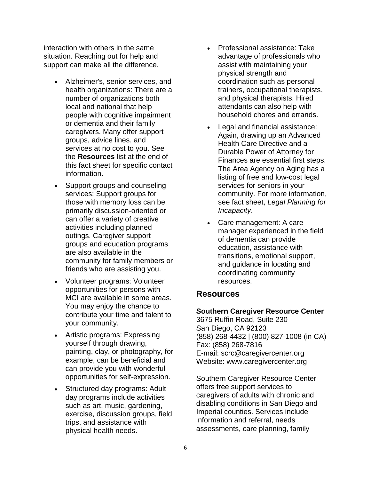interaction with others in the same situation. Reaching out for help and support can make all the difference.

- Alzheimer's, senior services, and health organizations: There are a number of organizations both local and national that help people with cognitive impairment or dementia and their family caregivers. Many offer support groups, advice lines, and services at no cost to you. See the **Resources** list at the end of this fact sheet for specific contact information.
- Support groups and counseling services: Support groups for those with memory loss can be primarily discussion-oriented or can offer a variety of creative activities including planned outings. Caregiver support groups and education programs are also available in the community for family members or friends who are assisting you.
- Volunteer programs: Volunteer opportunities for persons with MCI are available in some areas. You may enjoy the chance to contribute your time and talent to your community.
- Artistic programs: Expressing yourself through drawing, painting, clay, or photography, for example, can be beneficial and can provide you with wonderful opportunities for self-expression.
- Structured day programs: Adult day programs include activities such as art, music, gardening, exercise, discussion groups, field trips, and assistance with physical health needs.
- Professional assistance: Take advantage of professionals who assist with maintaining your physical strength and coordination such as personal trainers, occupational therapists, and physical therapists. Hired attendants can also help with household chores and errands.
- Legal and financial assistance: Again, drawing up an Advanced Health Care Directive and a Durable Power of Attorney for Finances are essential first steps. The Area Agency on Aging has a listing of free and low-cost legal services for seniors in your community. For more information, see fact sheet, *Legal Planning for Incapacity*.
- Care management: A care manager experienced in the field of dementia can provide education, assistance with transitions, emotional support, and guidance in locating and coordinating community resources.

### **Resources**

#### **Southern Caregiver Resource Center**

3675 Ruffin Road, Suite 230 San Diego, CA 92123 (858) 268-4432 | (800) 827-1008 (in CA) Fax: (858) 268-7816 E-mail: scrc@caregivercenter.org Website: www.caregivercenter.org

Southern Caregiver Resource Center offers free support services to caregivers of adults with chronic and disabling conditions in San Diego and Imperial counties. Services include information and referral, needs assessments, care planning, family